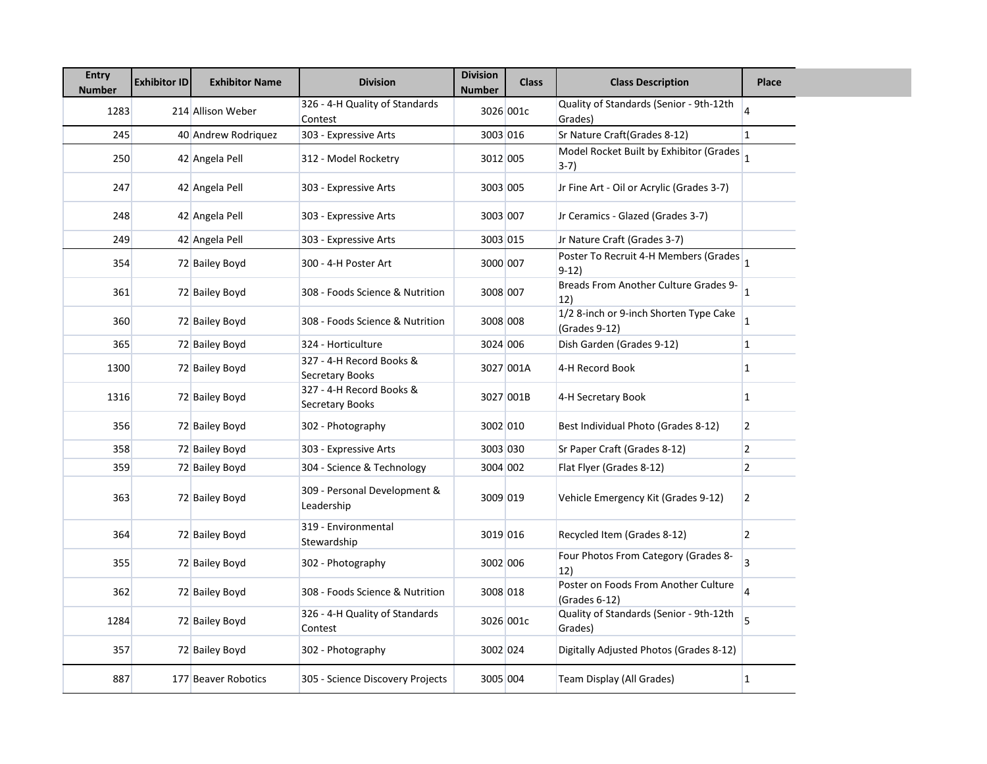| <b>Entry</b><br><b>Number</b> | <b>Exhibitor ID</b> | <b>Exhibitor Name</b> | <b>Division</b>                             | <b>Division</b><br><b>Number</b> | <b>Class</b> | <b>Class Description</b>                                | <b>Place</b>            |
|-------------------------------|---------------------|-----------------------|---------------------------------------------|----------------------------------|--------------|---------------------------------------------------------|-------------------------|
| 1283                          |                     | 214 Allison Weber     | 326 - 4-H Quality of Standards<br>Contest   |                                  | 3026 001c    | Quality of Standards (Senior - 9th-12th<br>Grades)      | $\overline{\mathbf{4}}$ |
| 245                           |                     | 40 Andrew Rodriguez   | 303 - Expressive Arts                       | 3003 016                         |              | Sr Nature Craft(Grades 8-12)                            | $\mathbf{1}$            |
| 250                           |                     | 42 Angela Pell        | 312 - Model Rocketry                        | 3012 005                         |              | Model Rocket Built by Exhibitor (Grades<br>3-7)         | $\overline{1}$          |
| 247                           |                     | 42 Angela Pell        | 303 - Expressive Arts                       | 3003 005                         |              | Jr Fine Art - Oil or Acrylic (Grades 3-7)               |                         |
| 248                           |                     | 42 Angela Pell        | 303 - Expressive Arts                       | 3003 007                         |              | Jr Ceramics - Glazed (Grades 3-7)                       |                         |
| 249                           |                     | 42 Angela Pell        | 303 - Expressive Arts                       | 3003 015                         |              | Jr Nature Craft (Grades 3-7)                            |                         |
| 354                           |                     | 72 Bailey Boyd        | 300 - 4-H Poster Art                        | 3000 007                         |              | Poster To Recruit 4-H Members (Grades 1<br>$9-12)$      |                         |
| 361                           |                     | 72 Bailey Boyd        | 308 - Foods Science & Nutrition             | 3008 007                         |              | Breads From Another Culture Grades 9-<br>12)            | 11.                     |
| 360                           |                     | 72 Bailey Boyd        | 308 - Foods Science & Nutrition             | 3008 008                         |              | 1/2 8-inch or 9-inch Shorten Type Cake<br>(Grades 9-12) |                         |
| 365                           |                     | 72 Bailey Boyd        | 324 - Horticulture                          | 3024 006                         |              | Dish Garden (Grades 9-12)                               | $\mathbf{1}$            |
| 1300                          |                     | 72 Bailey Boyd        | 327 - 4-H Record Books &<br>Secretary Books |                                  | 3027 001A    | 4-H Record Book                                         | $\mathbf{1}$            |
| 1316                          |                     | 72 Bailey Boyd        | 327 - 4-H Record Books &<br>Secretary Books |                                  | 3027 001B    | 4-H Secretary Book                                      | $\mathbf{1}$            |
| 356                           |                     | 72 Bailey Boyd        | 302 - Photography                           | 3002 010                         |              | Best Individual Photo (Grades 8-12)                     | $\overline{2}$          |
| 358                           |                     | 72 Bailey Boyd        | 303 - Expressive Arts                       | 3003 030                         |              | Sr Paper Craft (Grades 8-12)                            | $\overline{2}$          |
| 359                           |                     | 72 Bailey Boyd        | 304 - Science & Technology                  | 3004 002                         |              | Flat Flyer (Grades 8-12)                                | $\overline{2}$          |
| 363                           |                     | 72 Bailey Boyd        | 309 - Personal Development &<br>Leadership  | 3009 019                         |              | Vehicle Emergency Kit (Grades 9-12)                     | $\overline{2}$          |
| 364                           |                     | 72 Bailey Boyd        | 319 - Environmental<br>Stewardship          | 3019 016                         |              | Recycled Item (Grades 8-12)                             | $\overline{2}$          |
| 355                           |                     | 72 Bailey Boyd        | 302 - Photography                           | 3002 006                         |              | Four Photos From Category (Grades 8-<br>12)             | 3                       |
| 362                           |                     | 72 Bailey Boyd        | 308 - Foods Science & Nutrition             | 3008 018                         |              | Poster on Foods From Another Culture<br>(Grades 6-12)   |                         |
| 1284                          |                     | 72 Bailey Boyd        | 326 - 4-H Quality of Standards<br>Contest   |                                  | 3026 001c    | Quality of Standards (Senior - 9th-12th<br>Grades)      | 5                       |
| 357                           |                     | 72 Bailey Boyd        | 302 - Photography                           | 3002 024                         |              | Digitally Adjusted Photos (Grades 8-12)                 |                         |
| 887                           |                     | 177 Beaver Robotics   | 305 - Science Discovery Projects            | 3005 004                         |              | Team Display (All Grades)                               | $\vert$ 1               |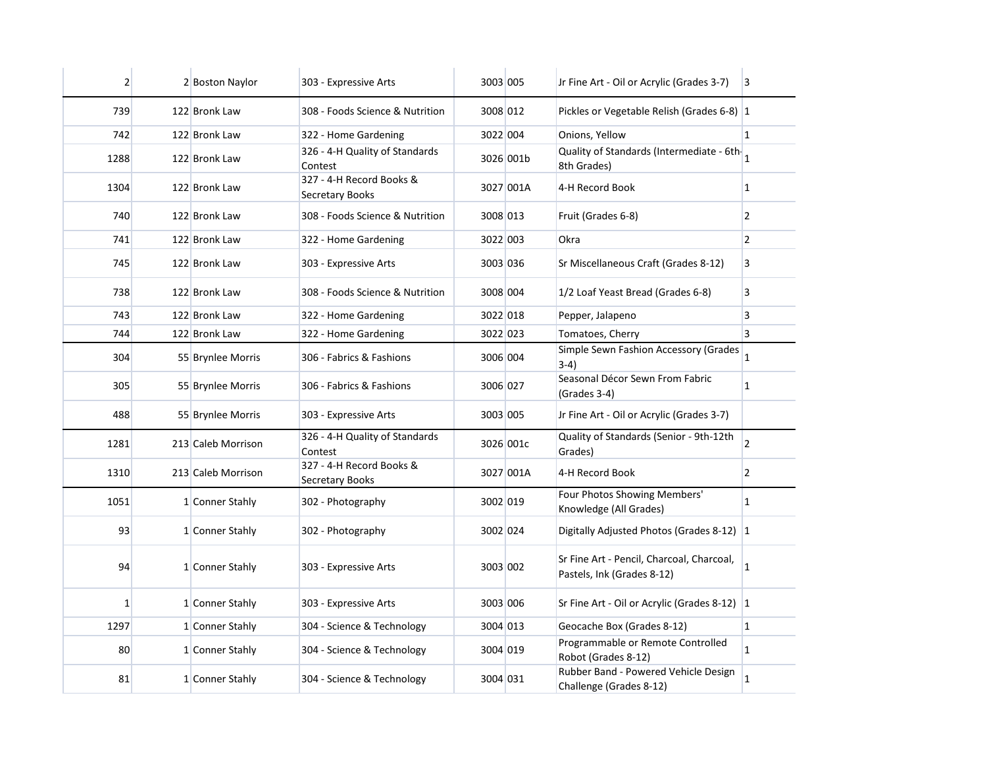| $\overline{2}$ | 2 Boston Naylor    | 303 - Expressive Arts                              | 3003 005 |           | Jr Fine Art - Oil or Acrylic (Grades 3-7)                               | $\vert$ 3      |
|----------------|--------------------|----------------------------------------------------|----------|-----------|-------------------------------------------------------------------------|----------------|
| 739            | 122 Bronk Law      | 308 - Foods Science & Nutrition                    | 3008 012 |           | Pickles or Vegetable Relish (Grades 6-8) 1                              |                |
| 742            | 122 Bronk Law      | 322 - Home Gardening                               | 3022 004 |           | Onions, Yellow                                                          | $\overline{1}$ |
| 1288           | 122 Bronk Law      | 326 - 4-H Quality of Standards<br>Contest          |          | 3026 001b | Quality of Standards (Intermediate - 6th-<br>8th Grades)                |                |
| 1304           | 122 Bronk Law      | 327 - 4-H Record Books &<br>Secretary Books        |          | 3027 001A | 4-H Record Book                                                         | 1              |
| 740            | 122 Bronk Law      | 308 - Foods Science & Nutrition                    | 3008 013 |           | Fruit (Grades 6-8)                                                      | 2              |
| 741            | 122 Bronk Law      | 322 - Home Gardening                               | 3022 003 |           | Okra                                                                    | $\overline{2}$ |
| 745            | 122 Bronk Law      | 303 - Expressive Arts                              | 3003 036 |           | Sr Miscellaneous Craft (Grades 8-12)                                    | 3              |
| 738            | 122 Bronk Law      | 308 - Foods Science & Nutrition                    | 3008 004 |           | 1/2 Loaf Yeast Bread (Grades 6-8)                                       | 3              |
| 743            | 122 Bronk Law      | 322 - Home Gardening                               | 3022 018 |           | Pepper, Jalapeno                                                        | 3              |
| 744            | 122 Bronk Law      | 322 - Home Gardening                               | 3022 023 |           | Tomatoes, Cherry                                                        | $\overline{3}$ |
| 304            | 55 Brynlee Morris  | 306 - Fabrics & Fashions                           | 3006 004 |           | Simple Sewn Fashion Accessory (Grades<br>$3-4)$                         | $\overline{1}$ |
| 305            | 55 Brynlee Morris  | 306 - Fabrics & Fashions                           | 3006 027 |           | Seasonal Décor Sewn From Fabric<br>(Grades 3-4)                         | $\mathbf{1}$   |
| 488            | 55 Brynlee Morris  | 303 - Expressive Arts                              | 3003 005 |           | Jr Fine Art - Oil or Acrylic (Grades 3-7)                               |                |
| 1281           | 213 Caleb Morrison | 326 - 4-H Quality of Standards<br>Contest          |          | 3026 001c | Quality of Standards (Senior - 9th-12th<br>Grades)                      | $\overline{2}$ |
| 1310           | 213 Caleb Morrison | 327 - 4-H Record Books &<br><b>Secretary Books</b> |          | 3027 001A | 4-H Record Book                                                         | 2              |
| 1051           | 1 Conner Stahly    | 302 - Photography                                  | 3002 019 |           | Four Photos Showing Members'<br>Knowledge (All Grades)                  | $\mathbf{1}$   |
| 93             | 1 Conner Stahly    | 302 - Photography                                  | 3002 024 |           | Digitally Adjusted Photos (Grades 8-12) 1                               |                |
| 94             | 1 Conner Stahly    | 303 - Expressive Arts                              | 3003 002 |           | Sr Fine Art - Pencil, Charcoal, Charcoal,<br>Pastels, Ink (Grades 8-12) | $\mathbf{1}$   |
| $\mathbf{1}$   | 1 Conner Stahly    | 303 - Expressive Arts                              | 3003 006 |           | Sr Fine Art - Oil or Acrylic (Grades 8-12) 1                            |                |
| 1297           | 1 Conner Stahly    | 304 - Science & Technology                         | 3004 013 |           | Geocache Box (Grades 8-12)                                              | $\mathbf{1}$   |
| 80             | 1 Conner Stahly    | 304 - Science & Technology                         | 3004 019 |           | Programmable or Remote Controlled<br>Robot (Grades 8-12)                | 1              |
| 81             | 1 Conner Stahly    | 304 - Science & Technology                         | 3004 031 |           | Rubber Band - Powered Vehicle Design<br>Challenge (Grades 8-12)         | $\mathbf{1}$   |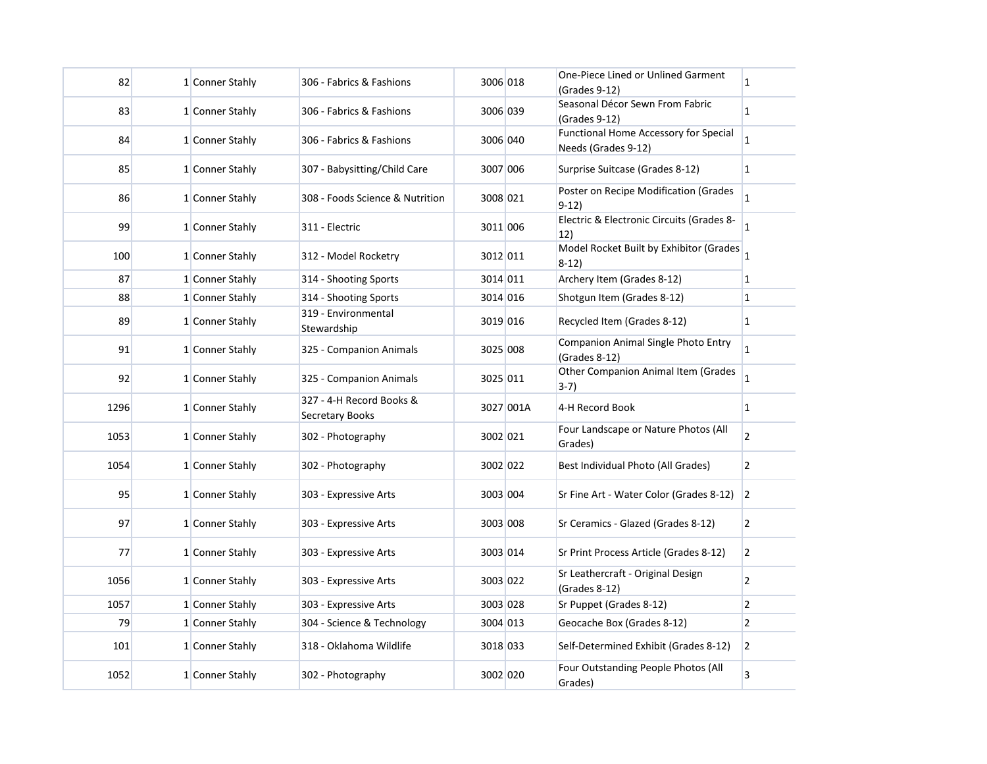| 82   | 1 Conner Stahly | 306 - Fabrics & Fashions                    | 3006 018 |           | One-Piece Lined or Unlined Garment<br>(Grades 9-12)          | $\mathbf{1}$   |
|------|-----------------|---------------------------------------------|----------|-----------|--------------------------------------------------------------|----------------|
| 83   | 1 Conner Stahly | 306 - Fabrics & Fashions                    | 3006 039 |           | Seasonal Décor Sewn From Fabric<br>(Grades 9-12)             | $\mathbf{1}$   |
| 84   | 1 Conner Stahly | 306 - Fabrics & Fashions                    | 3006 040 |           | Functional Home Accessory for Special<br>Needs (Grades 9-12) | $\mathbf{1}$   |
| 85   | 1 Conner Stahly | 307 - Babysitting/Child Care                | 3007 006 |           | Surprise Suitcase (Grades 8-12)                              | $\mathbf{1}$   |
| 86   | 1 Conner Stahly | 308 - Foods Science & Nutrition             | 3008 021 |           | Poster on Recipe Modification (Grades<br>$9-12)$             | $\mathbf{1}$   |
| 99   | 1 Conner Stahly | 311 - Electric                              | 3011 006 |           | Electric & Electronic Circuits (Grades 8-<br>12)             | $\mathbf{1}$   |
| 100  | 1 Conner Stahly | 312 - Model Rocketry                        | 3012 011 |           | Model Rocket Built by Exhibitor (Grades<br>$8-12)$           | 1              |
| 87   | 1 Conner Stahly | 314 - Shooting Sports                       | 3014 011 |           | Archery Item (Grades 8-12)                                   | 1              |
| 88   | 1 Conner Stahly | 314 - Shooting Sports                       | 3014 016 |           | Shotgun Item (Grades 8-12)                                   | $\mathbf{1}$   |
| 89   | 1 Conner Stahly | 319 - Environmental<br>Stewardship          | 3019 016 |           | Recycled Item (Grades 8-12)                                  | $\mathbf{1}$   |
| 91   | 1 Conner Stahly | 325 - Companion Animals                     | 3025 008 |           | Companion Animal Single Photo Entry<br>(Grades 8-12)         | $\mathbf{1}$   |
| 92   | 1 Conner Stahly | 325 - Companion Animals                     | 3025 011 |           | Other Companion Animal Item (Grades<br>$3-7)$                | $\mathbf{1}$   |
| 1296 | 1 Conner Stahly | 327 - 4-H Record Books &<br>Secretary Books |          | 3027 001A | 4-H Record Book                                              | $\mathbf{1}$   |
| 1053 | 1 Conner Stahly | 302 - Photography                           | 3002 021 |           | Four Landscape or Nature Photos (All<br>Grades)              | $\overline{2}$ |
| 1054 | 1 Conner Stahly | 302 - Photography                           | 3002 022 |           | Best Individual Photo (All Grades)                           | $\overline{2}$ |
| 95   | 1 Conner Stahly | 303 - Expressive Arts                       | 3003 004 |           | Sr Fine Art - Water Color (Grades 8-12)                      | $\vert$ 2      |
| 97   | 1 Conner Stahly | 303 - Expressive Arts                       | 3003 008 |           | Sr Ceramics - Glazed (Grades 8-12)                           | $\overline{2}$ |
| 77   | 1 Conner Stahly | 303 - Expressive Arts                       | 3003 014 |           | Sr Print Process Article (Grades 8-12)                       | $\overline{2}$ |
| 1056 | 1 Conner Stahly | 303 - Expressive Arts                       | 3003 022 |           | Sr Leathercraft - Original Design<br>(Grades 8-12)           | $\overline{2}$ |
| 1057 | 1 Conner Stahly | 303 - Expressive Arts                       | 3003 028 |           | Sr Puppet (Grades 8-12)                                      | $\overline{2}$ |
| 79   | 1 Conner Stahly | 304 - Science & Technology                  | 3004 013 |           | Geocache Box (Grades 8-12)                                   | $\overline{2}$ |
| 101  | 1 Conner Stahly | 318 - Oklahoma Wildlife                     | 3018 033 |           | Self-Determined Exhibit (Grades 8-12)                        | $\overline{2}$ |
| 1052 | 1 Conner Stahly | 302 - Photography                           | 3002 020 |           | Four Outstanding People Photos (All<br>Grades)               | $\overline{3}$ |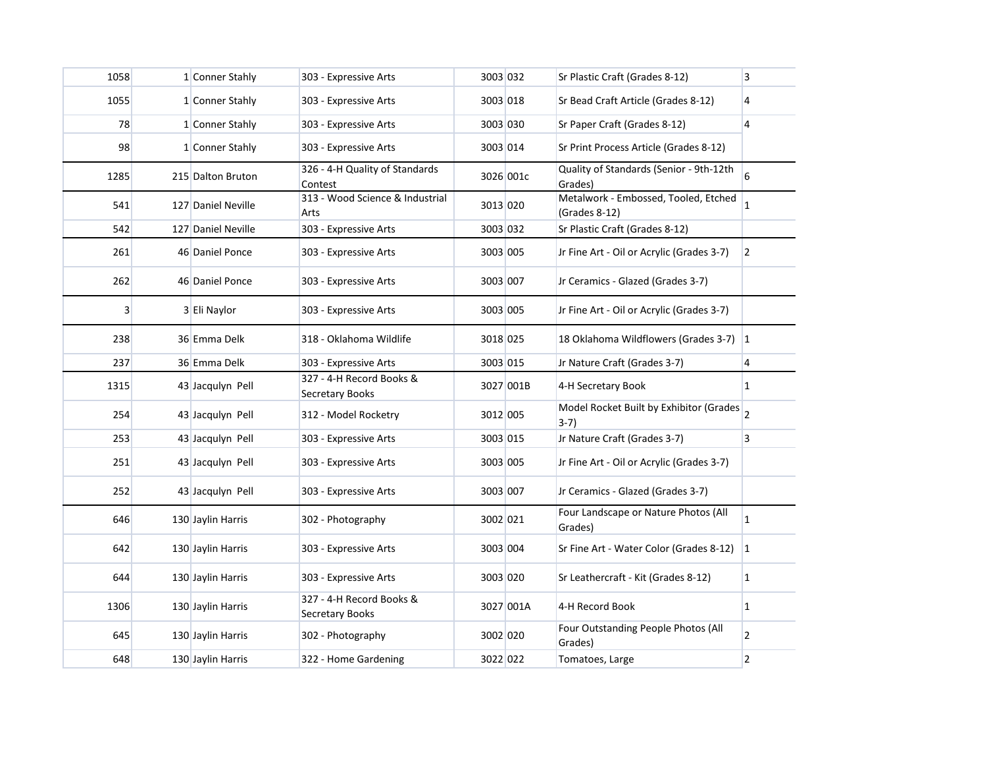| 1058           | 1 Conner Stahly    | 303 - Expressive Arts                       | 3003 032 |           | Sr Plastic Craft (Grades 8-12)                          | 3              |
|----------------|--------------------|---------------------------------------------|----------|-----------|---------------------------------------------------------|----------------|
| 1055           | 1 Conner Stahly    | 303 - Expressive Arts                       | 3003 018 |           | Sr Bead Craft Article (Grades 8-12)                     | 4              |
| 78             | 1 Conner Stahly    | 303 - Expressive Arts                       | 3003 030 |           | Sr Paper Craft (Grades 8-12)                            | 4              |
| 98             | 1 Conner Stahly    | 303 - Expressive Arts                       | 3003 014 |           | Sr Print Process Article (Grades 8-12)                  |                |
| 1285           | 215 Dalton Bruton  | 326 - 4-H Quality of Standards<br>Contest   |          | 3026 001c | Quality of Standards (Senior - 9th-12th<br>Grades)      | 6              |
| 541            | 127 Daniel Neville | 313 - Wood Science & Industrial<br>Arts     | 3013 020 |           | Metalwork - Embossed, Tooled, Etched<br>$(Grades 8-12)$ | $\mathbf{1}$   |
| 542            | 127 Daniel Neville | 303 - Expressive Arts                       | 3003 032 |           | Sr Plastic Craft (Grades 8-12)                          |                |
| 261            | 46 Daniel Ponce    | 303 - Expressive Arts                       | 3003 005 |           | Jr Fine Art - Oil or Acrylic (Grades 3-7)               | $\overline{2}$ |
| 262            | 46 Daniel Ponce    | 303 - Expressive Arts                       | 3003 007 |           | Jr Ceramics - Glazed (Grades 3-7)                       |                |
| 3 <sup>1</sup> | 3 Eli Naylor       | 303 - Expressive Arts                       | 3003 005 |           | Jr Fine Art - Oil or Acrylic (Grades 3-7)               |                |
| 238            | 36 Emma Delk       | 318 - Oklahoma Wildlife                     | 3018 025 |           | 18 Oklahoma Wildflowers (Grades 3-7) 1                  |                |
| 237            | 36 Emma Delk       | 303 - Expressive Arts                       | 3003 015 |           | Jr Nature Craft (Grades 3-7)                            | 4              |
| 1315           | 43 Jacqulyn Pell   | 327 - 4-H Record Books &<br>Secretary Books |          | 3027 001B | 4-H Secretary Book                                      | 1              |
| 254            | 43 Jacqulyn Pell   | 312 - Model Rocketry                        | 3012 005 |           | Model Rocket Built by Exhibitor (Grades 2<br>$3-7)$     |                |
| 253            | 43 Jacquiyn Pell   | 303 - Expressive Arts                       | 3003 015 |           | Jr Nature Craft (Grades 3-7)                            | $\overline{3}$ |
| 251            | 43 Jacquiyn Pell   | 303 - Expressive Arts                       | 3003 005 |           | Jr Fine Art - Oil or Acrylic (Grades 3-7)               |                |
| 252            | 43 Jacqulyn Pell   | 303 - Expressive Arts                       | 3003 007 |           | Jr Ceramics - Glazed (Grades 3-7)                       |                |
| 646            | 130 Jaylin Harris  | 302 - Photography                           | 3002 021 |           | Four Landscape or Nature Photos (All<br>Grades)         | $\mathbf{1}$   |
| 642            | 130 Jaylin Harris  | 303 - Expressive Arts                       | 3003 004 |           | Sr Fine Art - Water Color (Grades 8-12) 1               |                |
| 644            | 130 Jaylin Harris  | 303 - Expressive Arts                       | 3003 020 |           | Sr Leathercraft - Kit (Grades 8-12)                     | 1              |
| 1306           | 130 Jaylin Harris  | 327 - 4-H Record Books &<br>Secretary Books |          | 3027 001A | 4-H Record Book                                         | 1              |
| 645            | 130 Jaylin Harris  | 302 - Photography                           | 3002 020 |           | Four Outstanding People Photos (All<br>Grades)          | $\overline{2}$ |
| 648            | 130 Jaylin Harris  | 322 - Home Gardening                        | 3022 022 |           | Tomatoes, Large                                         | 2              |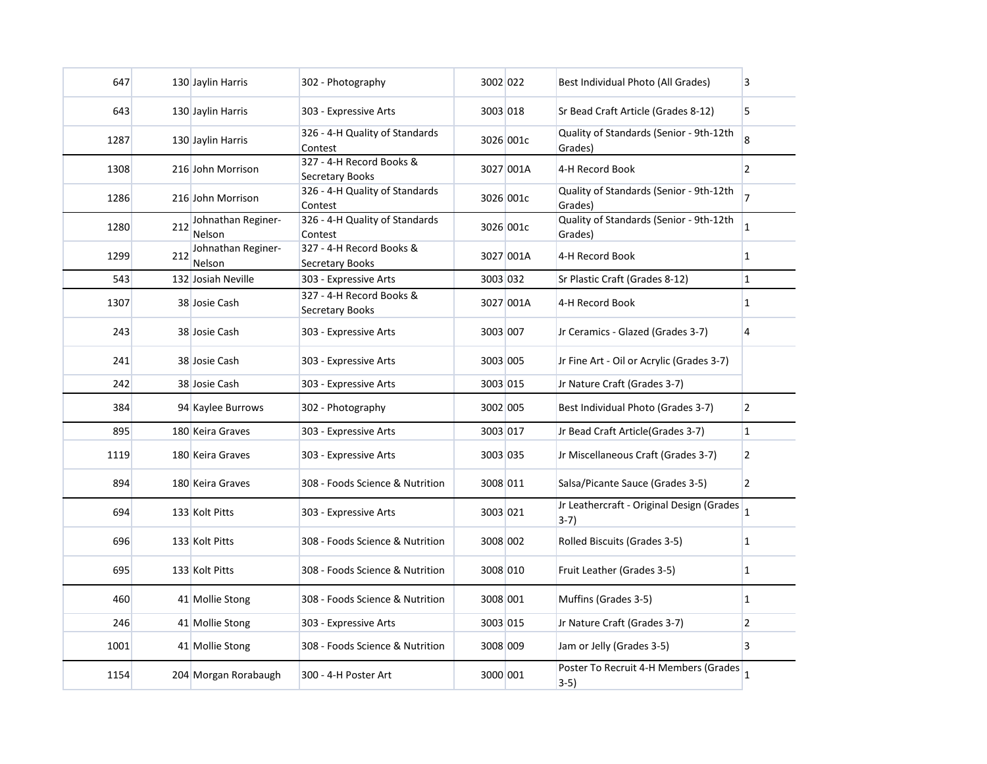| 647  |     | 130 Jaylin Harris            | 302 - Photography                           | 3002 022 |           | Best Individual Photo (All Grades)                  | 3              |
|------|-----|------------------------------|---------------------------------------------|----------|-----------|-----------------------------------------------------|----------------|
| 643  |     | 130 Jaylin Harris            | 303 - Expressive Arts                       | 3003 018 |           | Sr Bead Craft Article (Grades 8-12)                 | 5              |
| 1287 |     | 130 Jaylin Harris            | 326 - 4-H Quality of Standards<br>Contest   |          | 3026 001c | Quality of Standards (Senior - 9th-12th<br>Grades)  | 8              |
| 1308 |     | 216 John Morrison            | 327 - 4-H Record Books &<br>Secretary Books |          | 3027 001A | 4-H Record Book                                     | $\overline{2}$ |
| 1286 |     | 216 John Morrison            | 326 - 4-H Quality of Standards<br>Contest   |          | 3026 001c | Quality of Standards (Senior - 9th-12th<br>Grades)  | $\overline{7}$ |
| 1280 | 212 | Johnathan Reginer-<br>Nelson | 326 - 4-H Quality of Standards<br>Contest   |          | 3026 001c | Quality of Standards (Senior - 9th-12th<br>Grades)  | $\mathbf{1}$   |
| 1299 | 212 | Johnathan Reginer-<br>Nelson | 327 - 4-H Record Books &<br>Secretary Books |          | 3027 001A | 4-H Record Book                                     | 1              |
| 543  |     | 132 Josiah Neville           | 303 - Expressive Arts                       | 3003 032 |           | Sr Plastic Craft (Grades 8-12)                      | $\mathbf{1}$   |
| 1307 |     | 38 Josie Cash                | 327 - 4-H Record Books &<br>Secretary Books |          | 3027 001A | 4-H Record Book                                     | $\mathbf{1}$   |
| 243  |     | 38 Josie Cash                | 303 - Expressive Arts                       | 3003 007 |           | Jr Ceramics - Glazed (Grades 3-7)                   | 4              |
| 241  |     | 38 Josie Cash                | 303 - Expressive Arts                       | 3003 005 |           | Jr Fine Art - Oil or Acrylic (Grades 3-7)           |                |
| 242  |     | 38 Josie Cash                | 303 - Expressive Arts                       | 3003 015 |           | Jr Nature Craft (Grades 3-7)                        |                |
| 384  |     | 94 Kaylee Burrows            | 302 - Photography                           | 3002 005 |           | Best Individual Photo (Grades 3-7)                  | $\overline{2}$ |
| 895  |     | 180 Keira Graves             | 303 - Expressive Arts                       | 3003 017 |           | Jr Bead Craft Article (Grades 3-7)                  | $\vert$ 1      |
| 1119 |     | 180 Keira Graves             | 303 - Expressive Arts                       | 3003 035 |           | Jr Miscellaneous Craft (Grades 3-7)                 | $\overline{2}$ |
| 894  |     | 180 Keira Graves             | 308 - Foods Science & Nutrition             | 3008 011 |           | Salsa/Picante Sauce (Grades 3-5)                    | $\overline{2}$ |
| 694  |     | 133 Kolt Pitts               | 303 - Expressive Arts                       | 3003 021 |           | Jr Leathercraft - Original Design (Grades<br>$3-7)$ | $\mathbf{1}$   |
| 696  |     | 133 Kolt Pitts               | 308 - Foods Science & Nutrition             | 3008 002 |           | Rolled Biscuits (Grades 3-5)                        | $\vert$ 1      |
| 695  |     | 133 Kolt Pitts               | 308 - Foods Science & Nutrition             | 3008 010 |           | Fruit Leather (Grades 3-5)                          | $\mathbf{1}$   |
| 460  |     | 41 Mollie Stong              | 308 - Foods Science & Nutrition             | 3008 001 |           | Muffins (Grades 3-5)                                | $\mathbf{1}$   |
| 246  |     | 41 Mollie Stong              | 303 - Expressive Arts                       | 3003 015 |           | Jr Nature Craft (Grades 3-7)                        | 2              |
| 1001 |     | 41 Mollie Stong              | 308 - Foods Science & Nutrition             | 3008 009 |           | Jam or Jelly (Grades 3-5)                           | 3              |
| 1154 |     | 204 Morgan Rorabaugh         | 300 - 4-H Poster Art                        | 3000 001 |           | Poster To Recruit 4-H Members (Grades<br>3-5)       | $\overline{1}$ |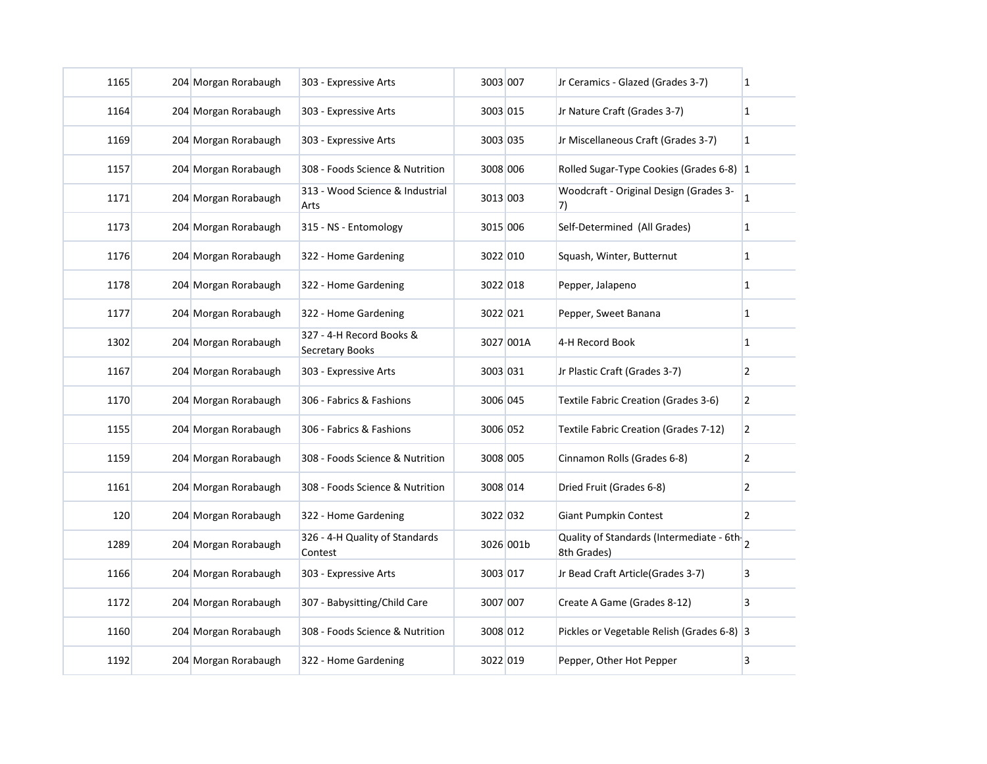| 1165 | 204 Morgan Rorabaugh | 303 - Expressive Arts                       | 3003 007 |           | Jr Ceramics - Glazed (Grades 3-7)                         | 1              |
|------|----------------------|---------------------------------------------|----------|-----------|-----------------------------------------------------------|----------------|
| 1164 | 204 Morgan Rorabaugh | 303 - Expressive Arts                       | 3003 015 |           | Jr Nature Craft (Grades 3-7)                              | 1              |
| 1169 | 204 Morgan Rorabaugh | 303 - Expressive Arts                       | 3003 035 |           | Jr Miscellaneous Craft (Grades 3-7)                       | $\mathbf{1}$   |
| 1157 | 204 Morgan Rorabaugh | 308 - Foods Science & Nutrition             | 3008 006 |           | Rolled Sugar-Type Cookies (Grades 6-8) 1                  |                |
| 1171 | 204 Morgan Rorabaugh | 313 - Wood Science & Industrial<br>Arts     | 3013 003 |           | Woodcraft - Original Design (Grades 3-<br>7)              | $\mathbf{1}$   |
| 1173 | 204 Morgan Rorabaugh | 315 - NS - Entomology                       | 3015 006 |           | Self-Determined (All Grades)                              | 1              |
| 1176 | 204 Morgan Rorabaugh | 322 - Home Gardening                        | 3022 010 |           | Squash, Winter, Butternut                                 | 1              |
| 1178 | 204 Morgan Rorabaugh | 322 - Home Gardening                        | 3022 018 |           | Pepper, Jalapeno                                          | 1              |
| 1177 | 204 Morgan Rorabaugh | 322 - Home Gardening                        | 3022 021 |           | Pepper, Sweet Banana                                      | 1              |
| 1302 | 204 Morgan Rorabaugh | 327 - 4-H Record Books &<br>Secretary Books |          | 3027 001A | 4-H Record Book                                           | $\mathbf{1}$   |
| 1167 | 204 Morgan Rorabaugh | 303 - Expressive Arts                       | 3003 031 |           | Jr Plastic Craft (Grades 3-7)                             | 2              |
| 1170 | 204 Morgan Rorabaugh | 306 - Fabrics & Fashions                    | 3006 045 |           | Textile Fabric Creation (Grades 3-6)                      | $\overline{2}$ |
| 1155 | 204 Morgan Rorabaugh | 306 - Fabrics & Fashions                    | 3006 052 |           | Textile Fabric Creation (Grades 7-12)                     | 2              |
| 1159 | 204 Morgan Rorabaugh | 308 - Foods Science & Nutrition             | 3008 005 |           | Cinnamon Rolls (Grades 6-8)                               | $\overline{2}$ |
| 1161 | 204 Morgan Rorabaugh | 308 - Foods Science & Nutrition             | 3008 014 |           | Dried Fruit (Grades 6-8)                                  | $\overline{2}$ |
| 120  | 204 Morgan Rorabaugh | 322 - Home Gardening                        | 3022 032 |           | <b>Giant Pumpkin Contest</b>                              | $\overline{2}$ |
| 1289 | 204 Morgan Rorabaugh | 326 - 4-H Quality of Standards<br>Contest   |          | 3026 001b | Quality of Standards (Intermediate - 6th-2<br>8th Grades) |                |
| 1166 | 204 Morgan Rorabaugh | 303 - Expressive Arts                       | 3003 017 |           | Jr Bead Craft Article(Grades 3-7)                         | 3              |
| 1172 | 204 Morgan Rorabaugh | 307 - Babysitting/Child Care                | 3007 007 |           | Create A Game (Grades 8-12)                               | 3              |
| 1160 | 204 Morgan Rorabaugh | 308 - Foods Science & Nutrition             | 3008 012 |           | Pickles or Vegetable Relish (Grades 6-8) 3                |                |
| 1192 | 204 Morgan Rorabaugh | 322 - Home Gardening                        | 3022 019 |           | Pepper, Other Hot Pepper                                  | 3              |
|      |                      |                                             |          |           |                                                           |                |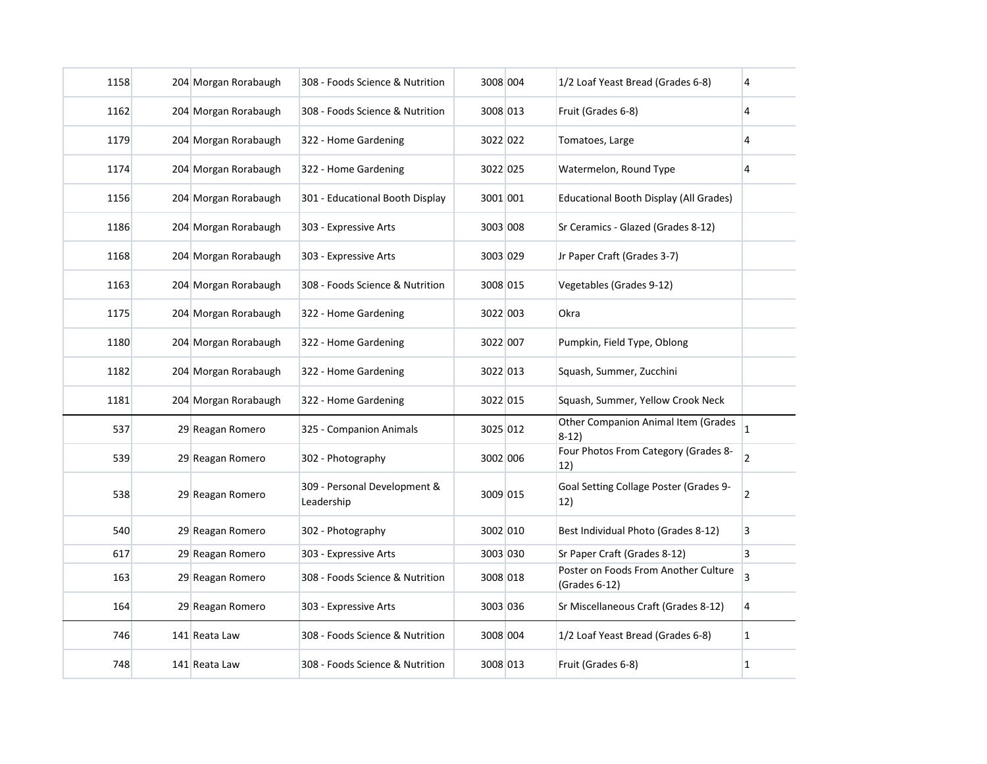| 1158 | 204 Morgan Rorabaugh | 308 - Foods Science & Nutrition            | 3008 004 | 1/2 Loaf Yeast Bread (Grades 6-8)                     | 4              |
|------|----------------------|--------------------------------------------|----------|-------------------------------------------------------|----------------|
| 1162 | 204 Morgan Rorabaugh | 308 - Foods Science & Nutrition            | 3008 013 | Fruit (Grades 6-8)                                    | 4              |
| 1179 | 204 Morgan Rorabaugh | 322 - Home Gardening                       | 3022 022 | Tomatoes, Large                                       | 4              |
| 1174 | 204 Morgan Rorabaugh | 322 - Home Gardening                       | 3022 025 | Watermelon, Round Type                                | 4              |
| 1156 | 204 Morgan Rorabaugh | 301 - Educational Booth Display            | 3001 001 | Educational Booth Display (All Grades)                |                |
| 1186 | 204 Morgan Rorabaugh | 303 - Expressive Arts                      | 3003 008 | Sr Ceramics - Glazed (Grades 8-12)                    |                |
| 1168 | 204 Morgan Rorabaugh | 303 - Expressive Arts                      | 3003 029 | Jr Paper Craft (Grades 3-7)                           |                |
| 1163 | 204 Morgan Rorabaugh | 308 - Foods Science & Nutrition            | 3008 015 | Vegetables (Grades 9-12)                              |                |
| 1175 | 204 Morgan Rorabaugh | 322 - Home Gardening                       | 3022 003 | Okra                                                  |                |
| 1180 | 204 Morgan Rorabaugh | 322 - Home Gardening                       | 3022 007 | Pumpkin, Field Type, Oblong                           |                |
| 1182 | 204 Morgan Rorabaugh | 322 - Home Gardening                       | 3022 013 | Squash, Summer, Zucchini                              |                |
| 1181 | 204 Morgan Rorabaugh | 322 - Home Gardening                       | 3022 015 | Squash, Summer, Yellow Crook Neck                     |                |
| 537  | 29 Reagan Romero     | 325 - Companion Animals                    | 3025 012 | Other Companion Animal Item (Grades<br>8-12)          | $\mathbf{1}$   |
| 539  | 29 Reagan Romero     | 302 - Photography                          | 3002 006 | Four Photos From Category (Grades 8-<br>12)           | $\overline{2}$ |
| 538  | 29 Reagan Romero     | 309 - Personal Development &<br>Leadership | 3009 015 | Goal Setting Collage Poster (Grades 9-<br>12)         | $\overline{2}$ |
| 540  | 29 Reagan Romero     | 302 - Photography                          | 3002 010 | Best Individual Photo (Grades 8-12)                   | 3              |
| 617  | 29 Reagan Romero     | 303 - Expressive Arts                      | 3003 030 | Sr Paper Craft (Grades 8-12)                          | 3              |
| 163  | 29 Reagan Romero     | 308 - Foods Science & Nutrition            | 3008 018 | Poster on Foods From Another Culture<br>(Grades 6-12) | 3              |
| 164  | 29 Reagan Romero     | 303 - Expressive Arts                      | 3003 036 | Sr Miscellaneous Craft (Grades 8-12)                  | 4              |
| 746  | 141 Reata Law        | 308 - Foods Science & Nutrition            | 3008 004 | 1/2 Loaf Yeast Bread (Grades 6-8)                     | $\mathbf{1}$   |
| 748  | 141 Reata Law        | 308 - Foods Science & Nutrition            | 3008 013 | Fruit (Grades 6-8)                                    | 1              |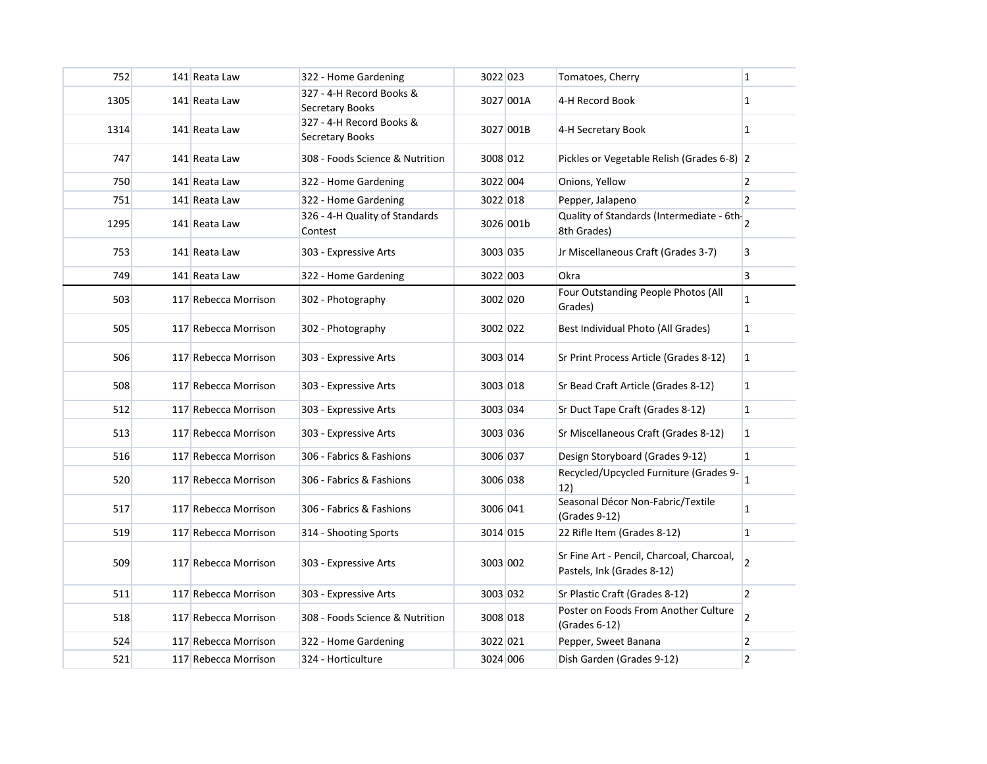| 1305<br>141 Reata Law<br><b>Secretary Books</b>         | 327 - 4-H Record Books &                    |           |                                                                         |                |
|---------------------------------------------------------|---------------------------------------------|-----------|-------------------------------------------------------------------------|----------------|
|                                                         |                                             | 3027 001A | 4-H Record Book                                                         | $\overline{1}$ |
| 1314<br>141 Reata Law<br><b>Secretary Books</b>         | 327 - 4-H Record Books &                    | 3027 001B | 4-H Secretary Book                                                      | $\mathbf{1}$   |
| 747<br>141 Reata Law                                    | 308 - Foods Science & Nutrition<br>3008 012 |           | Pickles or Vegetable Relish (Grades 6-8) 2                              |                |
| 750<br>141 Reata Law<br>322 - Home Gardening            | 3022 004                                    |           | Onions, Yellow                                                          | $\overline{2}$ |
| 751<br>141 Reata Law<br>322 - Home Gardening            | 3022 018                                    |           | Pepper, Jalapeno                                                        | $\overline{2}$ |
| 1295<br>141 Reata Law<br>Contest                        | 326 - 4-H Quality of Standards              | 3026 001b | Quality of Standards (Intermediate - 6th 2<br>8th Grades)               |                |
| 753<br>141 Reata Law<br>303 - Expressive Arts           | 3003 035                                    |           | Jr Miscellaneous Craft (Grades 3-7)                                     | 3              |
| 749<br>141 Reata Law<br>322 - Home Gardening            | 3022 003                                    |           | Okra                                                                    | $\overline{3}$ |
| 503<br>117 Rebecca Morrison<br>302 - Photography        |                                             | 3002 020  | Four Outstanding People Photos (All<br>Grades)                          | $\mathbf{1}$   |
| 505<br>302 - Photography<br>117 Rebecca Morrison        | 3002 022                                    |           | Best Individual Photo (All Grades)                                      | $\vert$ 1      |
| 506<br>117 Rebecca Morrison<br>303 - Expressive Arts    | 3003 014                                    |           | Sr Print Process Article (Grades 8-12)                                  | $\mathbf{1}$   |
| 508<br>117 Rebecca Morrison<br>303 - Expressive Arts    | 3003 018                                    |           | Sr Bead Craft Article (Grades 8-12)                                     | $\vert$ 1      |
| 512<br>117 Rebecca Morrison<br>303 - Expressive Arts    | 3003 034                                    |           | Sr Duct Tape Craft (Grades 8-12)                                        | $\mathbf{1}$   |
| 513<br>117 Rebecca Morrison<br>303 - Expressive Arts    |                                             | 3003 036  | Sr Miscellaneous Craft (Grades 8-12)                                    | $\mathbf{1}$   |
| 516<br>117 Rebecca Morrison<br>306 - Fabrics & Fashions | 3006 037                                    |           | Design Storyboard (Grades 9-12)                                         | $\mathbf{1}$   |
| 117 Rebecca Morrison<br>306 - Fabrics & Fashions<br>520 |                                             | 3006 038  | Recycled/Upcycled Furniture (Grades 9-<br>12)                           | $\vert$ 1      |
| 117 Rebecca Morrison<br>306 - Fabrics & Fashions<br>517 | 3006 041                                    |           | Seasonal Décor Non-Fabric/Textile<br>(Grades 9-12)                      | $\overline{1}$ |
| 519<br>117 Rebecca Morrison<br>314 - Shooting Sports    | 3014 015                                    |           | 22 Rifle Item (Grades 8-12)                                             | $\mathbf{1}$   |
| 509<br>117 Rebecca Morrison<br>303 - Expressive Arts    |                                             | 3003 002  | Sr Fine Art - Pencil, Charcoal, Charcoal,<br>Pastels, Ink (Grades 8-12) | $\overline{2}$ |
| 117 Rebecca Morrison<br>303 - Expressive Arts<br>511    | 3003 032                                    |           | Sr Plastic Craft (Grades 8-12)                                          | $\overline{2}$ |
| 518<br>117 Rebecca Morrison                             | 308 - Foods Science & Nutrition             | 3008 018  | Poster on Foods From Another Culture<br>(Grades 6-12)                   | $\overline{2}$ |
| 524<br>117 Rebecca Morrison<br>322 - Home Gardening     | 3022 021                                    |           | Pepper, Sweet Banana                                                    | $\overline{2}$ |
| 521<br>117 Rebecca Morrison<br>324 - Horticulture       | 3024 006                                    |           | Dish Garden (Grades 9-12)                                               | $\overline{2}$ |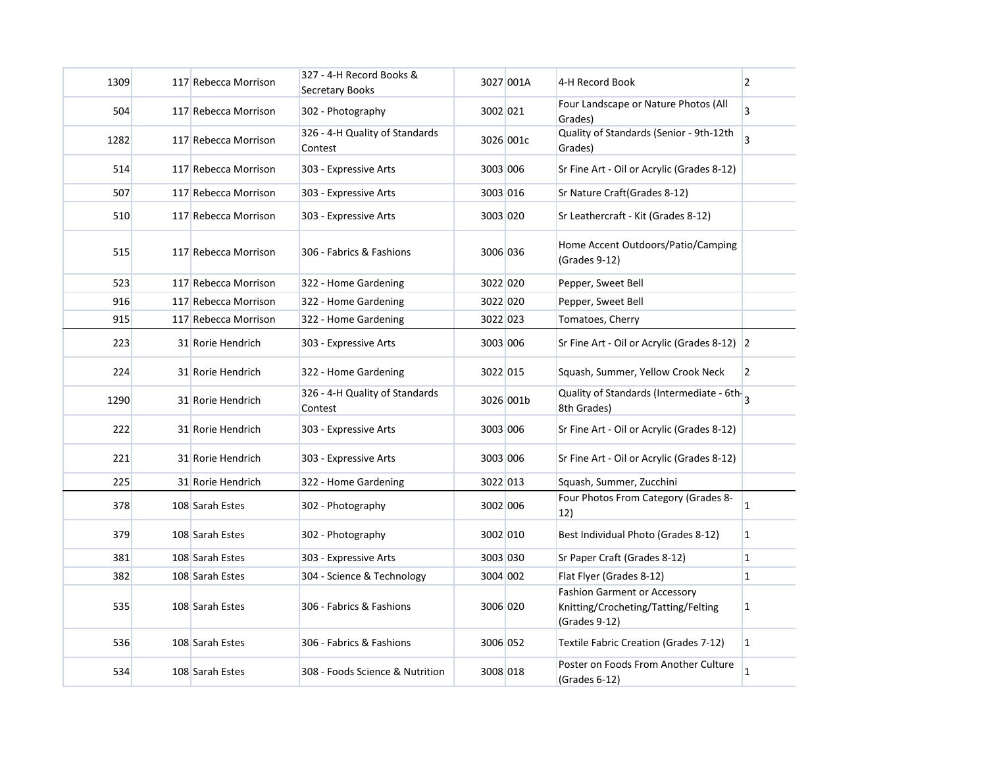| 1309 | 117 Rebecca Morrison | 327 - 4-H Record Books &<br>Secretary Books |          | 3027 001A | 4-H Record Book                                                                             | $\overline{2}$ |
|------|----------------------|---------------------------------------------|----------|-----------|---------------------------------------------------------------------------------------------|----------------|
| 504  | 117 Rebecca Morrison | 302 - Photography                           | 3002 021 |           | Four Landscape or Nature Photos (All<br>Grades)                                             | 3              |
| 1282 | 117 Rebecca Morrison | 326 - 4-H Quality of Standards<br>Contest   |          | 3026 001c | Quality of Standards (Senior - 9th-12th<br>Grades)                                          | $\overline{3}$ |
| 514  | 117 Rebecca Morrison | 303 - Expressive Arts                       | 3003 006 |           | Sr Fine Art - Oil or Acrylic (Grades 8-12)                                                  |                |
| 507  | 117 Rebecca Morrison | 303 - Expressive Arts                       | 3003 016 |           | Sr Nature Craft (Grades 8-12)                                                               |                |
| 510  | 117 Rebecca Morrison | 303 - Expressive Arts                       | 3003 020 |           | Sr Leathercraft - Kit (Grades 8-12)                                                         |                |
| 515  | 117 Rebecca Morrison | 306 - Fabrics & Fashions                    | 3006 036 |           | Home Accent Outdoors/Patio/Camping<br>(Grades 9-12)                                         |                |
| 523  | 117 Rebecca Morrison | 322 - Home Gardening                        | 3022 020 |           | Pepper, Sweet Bell                                                                          |                |
| 916  | 117 Rebecca Morrison | 322 - Home Gardening                        | 3022 020 |           | Pepper, Sweet Bell                                                                          |                |
| 915  | 117 Rebecca Morrison | 322 - Home Gardening                        | 3022 023 |           | Tomatoes, Cherry                                                                            |                |
| 223  | 31 Rorie Hendrich    | 303 - Expressive Arts                       | 3003 006 |           | Sr Fine Art - Oil or Acrylic (Grades 8-12) 2                                                |                |
| 224  | 31 Rorie Hendrich    | 322 - Home Gardening                        | 3022 015 |           | Squash, Summer, Yellow Crook Neck                                                           | $\overline{2}$ |
| 1290 | 31 Rorie Hendrich    | 326 - 4-H Quality of Standards<br>Contest   |          | 3026 001b | Quality of Standards (Intermediate - 6th.<br>8th Grades)                                    |                |
| 222  | 31 Rorie Hendrich    | 303 - Expressive Arts                       | 3003 006 |           | Sr Fine Art - Oil or Acrylic (Grades 8-12)                                                  |                |
| 221  | 31 Rorie Hendrich    | 303 - Expressive Arts                       | 3003 006 |           | Sr Fine Art - Oil or Acrylic (Grades 8-12)                                                  |                |
| 225  | 31 Rorie Hendrich    | 322 - Home Gardening                        | 3022 013 |           | Squash, Summer, Zucchini                                                                    |                |
| 378  | 108 Sarah Estes      | 302 - Photography                           | 3002 006 |           | Four Photos From Category (Grades 8-<br>12)                                                 | $\overline{1}$ |
| 379  | 108 Sarah Estes      | 302 - Photography                           | 3002 010 |           | Best Individual Photo (Grades 8-12)                                                         | $\mathbf{1}$   |
| 381  | 108 Sarah Estes      | 303 - Expressive Arts                       | 3003 030 |           | Sr Paper Craft (Grades 8-12)                                                                | $\mathbf{1}$   |
| 382  | 108 Sarah Estes      | 304 - Science & Technology                  | 3004 002 |           | Flat Flyer (Grades 8-12)                                                                    | $\mathbf{1}$   |
| 535  | 108 Sarah Estes      | 306 - Fabrics & Fashions                    | 3006 020 |           | <b>Fashion Garment or Accessory</b><br>Knitting/Crocheting/Tatting/Felting<br>(Grades 9-12) | $\mathbf{1}$   |
| 536  | 108 Sarah Estes      | 306 - Fabrics & Fashions                    | 3006 052 |           | Textile Fabric Creation (Grades 7-12)                                                       | $\mathbf{1}$   |
| 534  | 108 Sarah Estes      | 308 - Foods Science & Nutrition             | 3008 018 |           | Poster on Foods From Another Culture<br>(Grades 6-12)                                       | 1              |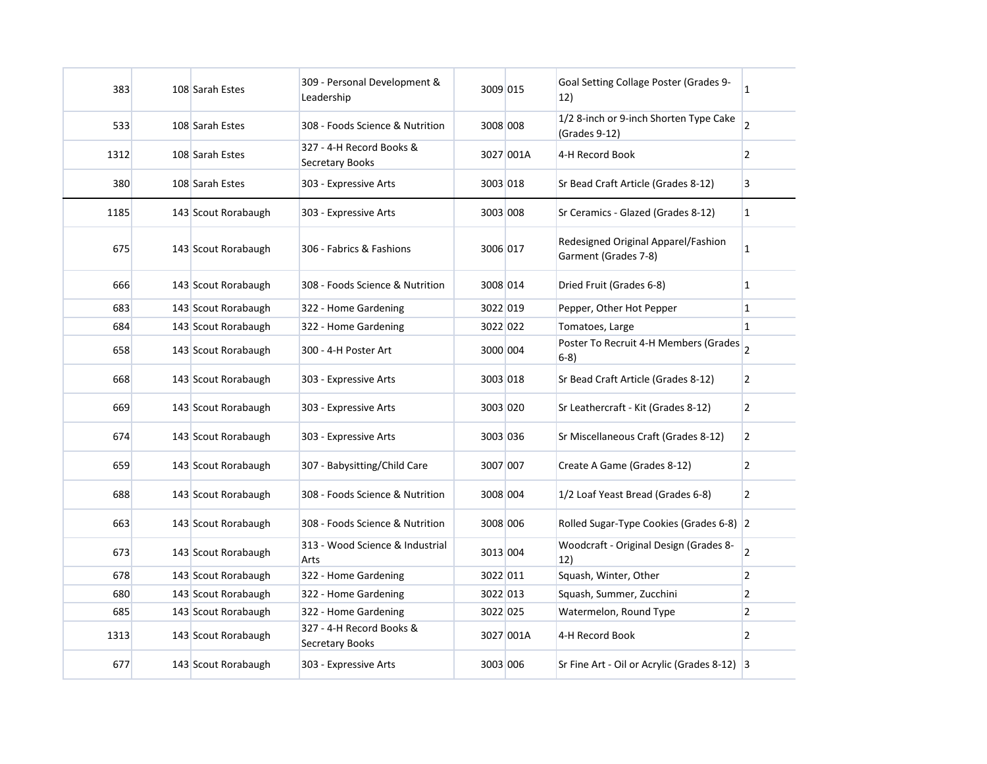| 383  | 108 Sarah Estes     | 309 - Personal Development &<br>Leadership  | 3009 015 |           | Goal Setting Collage Poster (Grades 9-<br>12)               | 1              |
|------|---------------------|---------------------------------------------|----------|-----------|-------------------------------------------------------------|----------------|
| 533  | 108 Sarah Estes     | 308 - Foods Science & Nutrition             | 3008 008 |           | 1/2 8-inch or 9-inch Shorten Type Cake<br>(Grades 9-12)     | $\overline{2}$ |
| 1312 | 108 Sarah Estes     | 327 - 4-H Record Books &<br>Secretary Books |          | 3027 001A | 4-H Record Book                                             | 2              |
| 380  | 108 Sarah Estes     | 303 - Expressive Arts                       | 3003 018 |           | Sr Bead Craft Article (Grades 8-12)                         | 3              |
| 1185 | 143 Scout Rorabaugh | 303 - Expressive Arts                       | 3003 008 |           | Sr Ceramics - Glazed (Grades 8-12)                          | 1              |
| 675  | 143 Scout Rorabaugh | 306 - Fabrics & Fashions                    | 3006 017 |           | Redesigned Original Apparel/Fashion<br>Garment (Grades 7-8) | 1              |
| 666  | 143 Scout Rorabaugh | 308 - Foods Science & Nutrition             | 3008 014 |           | Dried Fruit (Grades 6-8)                                    | 1              |
| 683  | 143 Scout Rorabaugh | 322 - Home Gardening                        | 3022 019 |           | Pepper, Other Hot Pepper                                    | $\mathbf{1}$   |
| 684  | 143 Scout Rorabaugh | 322 - Home Gardening                        | 3022 022 |           | Tomatoes, Large                                             | $\mathbf{1}$   |
| 658  | 143 Scout Rorabaugh | 300 - 4-H Poster Art                        | 3000 004 |           | Poster To Recruit 4-H Members (Grades 2<br>$6-8)$           |                |
| 668  | 143 Scout Rorabaugh | 303 - Expressive Arts                       | 3003 018 |           | Sr Bead Craft Article (Grades 8-12)                         | $\overline{2}$ |
| 669  | 143 Scout Rorabaugh | 303 - Expressive Arts                       | 3003 020 |           | Sr Leathercraft - Kit (Grades 8-12)                         | 2              |
| 674  | 143 Scout Rorabaugh | 303 - Expressive Arts                       | 3003 036 |           | Sr Miscellaneous Craft (Grades 8-12)                        | 2              |
| 659  | 143 Scout Rorabaugh | 307 - Babysitting/Child Care                | 3007 007 |           | Create A Game (Grades 8-12)                                 | $\overline{2}$ |
| 688  | 143 Scout Rorabaugh | 308 - Foods Science & Nutrition             | 3008 004 |           | 1/2 Loaf Yeast Bread (Grades 6-8)                           | $\overline{2}$ |
| 663  | 143 Scout Rorabaugh | 308 - Foods Science & Nutrition             | 3008 006 |           | Rolled Sugar-Type Cookies (Grades 6-8) 2                    |                |
| 673  | 143 Scout Rorabaugh | 313 - Wood Science & Industrial<br>Arts     | 3013 004 |           | Woodcraft - Original Design (Grades 8-<br>12)               | $\overline{2}$ |
| 678  | 143 Scout Rorabaugh | 322 - Home Gardening                        | 3022 011 |           | Squash, Winter, Other                                       | $\overline{2}$ |
| 680  | 143 Scout Rorabaugh | 322 - Home Gardening                        | 3022 013 |           | Squash, Summer, Zucchini                                    | 2              |
| 685  | 143 Scout Rorabaugh | 322 - Home Gardening                        | 3022 025 |           | Watermelon, Round Type                                      | $\overline{2}$ |
| 1313 | 143 Scout Rorabaugh | 327 - 4-H Record Books &<br>Secretary Books |          | 3027 001A | 4-H Record Book                                             | 2              |
| 677  | 143 Scout Rorabaugh | 303 - Expressive Arts                       | 3003 006 |           | Sr Fine Art - Oil or Acrylic (Grades 8-12) 3                |                |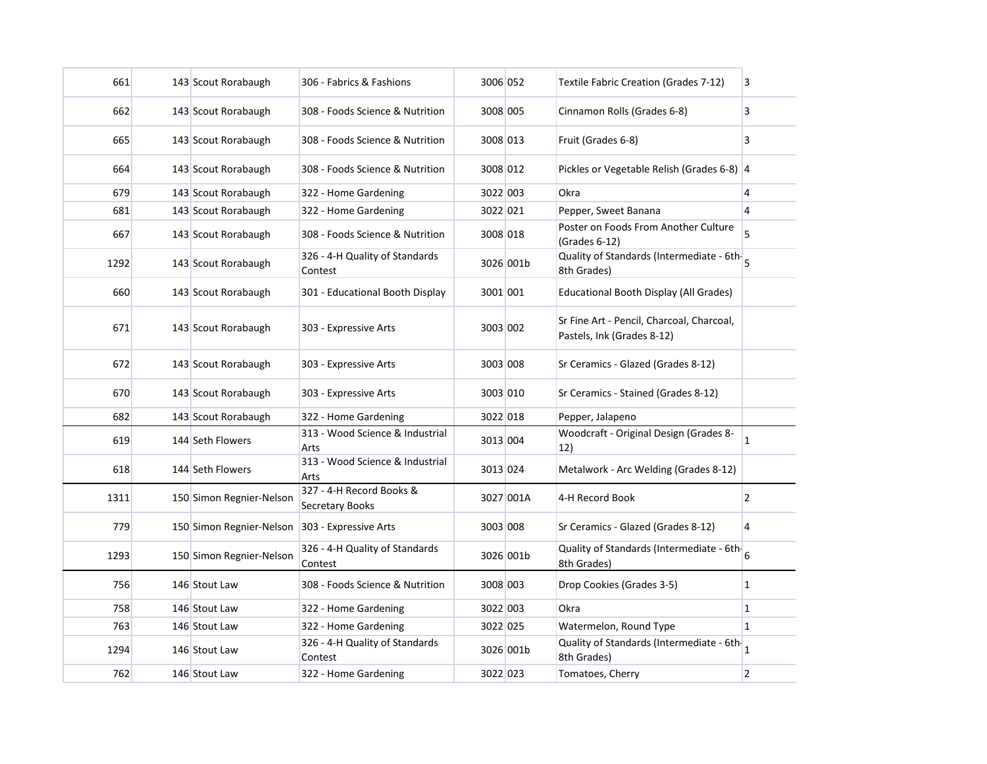| 661  | 143 Scout Rorabaugh      | 306 - Fabrics & Fashions                    | 3006 052 |           | Textile Fabric Creation (Grades 7-12)                                   | 3              |
|------|--------------------------|---------------------------------------------|----------|-----------|-------------------------------------------------------------------------|----------------|
| 662  | 143 Scout Rorabaugh      | 308 - Foods Science & Nutrition             | 3008 005 |           | Cinnamon Rolls (Grades 6-8)                                             | 3              |
| 665  | 143 Scout Rorabaugh      | 308 - Foods Science & Nutrition             | 3008 013 |           | Fruit (Grades 6-8)                                                      | 3              |
| 664  | 143 Scout Rorabaugh      | 308 - Foods Science & Nutrition             | 3008 012 |           | Pickles or Vegetable Relish (Grades 6-8) 4                              |                |
| 679  | 143 Scout Rorabaugh      | 322 - Home Gardening                        | 3022 003 |           | Okra                                                                    | 4              |
| 681  | 143 Scout Rorabaugh      | 322 - Home Gardening                        | 3022 021 |           | Pepper, Sweet Banana                                                    | $\overline{4}$ |
| 667  | 143 Scout Rorabaugh      | 308 - Foods Science & Nutrition             | 3008 018 |           | Poster on Foods From Another Culture<br>(Grades 6-12)                   | 5.             |
| 1292 | 143 Scout Rorabaugh      | 326 - 4-H Quality of Standards<br>Contest   |          | 3026 001b | Quality of Standards (Intermediate - 6th<br>8th Grades)                 |                |
| 660  | 143 Scout Rorabaugh      | 301 - Educational Booth Display             | 3001 001 |           | Educational Booth Display (All Grades)                                  |                |
| 671  | 143 Scout Rorabaugh      | 303 - Expressive Arts                       | 3003 002 |           | Sr Fine Art - Pencil, Charcoal, Charcoal,<br>Pastels, Ink (Grades 8-12) |                |
| 672  | 143 Scout Rorabaugh      | 303 - Expressive Arts                       | 3003 008 |           | Sr Ceramics - Glazed (Grades 8-12)                                      |                |
| 670  | 143 Scout Rorabaugh      | 303 - Expressive Arts                       | 3003 010 |           | Sr Ceramics - Stained (Grades 8-12)                                     |                |
| 682  | 143 Scout Rorabaugh      | 322 - Home Gardening                        | 3022 018 |           | Pepper, Jalapeno                                                        |                |
| 619  | 144 Seth Flowers         | 313 - Wood Science & Industrial<br>Arts     | 3013 004 |           | Woodcraft - Original Design (Grades 8-<br>12)                           | <u> 1</u>      |
| 618  | 144 Seth Flowers         | 313 - Wood Science & Industrial<br>Arts     | 3013 024 |           | Metalwork - Arc Welding (Grades 8-12)                                   |                |
| 1311 | 150 Simon Regnier-Nelson | 327 - 4-H Record Books &<br>Secretary Books |          | 3027 001A | 4-H Record Book                                                         | $\overline{2}$ |
| 779  | 150 Simon Regnier-Nelson | 303 - Expressive Arts                       | 3003 008 |           | Sr Ceramics - Glazed (Grades 8-12)                                      | $\overline{4}$ |
| 1293 | 150 Simon Regnier-Nelson | 326 - 4-H Quality of Standards<br>Contest   |          | 3026 001b | Quality of Standards (Intermediate - 6th.<br>8th Grades)                |                |
| 756  | 146 Stout Law            | 308 - Foods Science & Nutrition             | 3008 003 |           | Drop Cookies (Grades 3-5)                                               | $\mathbf{1}$   |
| 758  | 146 Stout Law            | 322 - Home Gardening                        | 3022 003 |           | Okra                                                                    | $\mathbf{1}$   |
| 763  | 146 Stout Law            | 322 - Home Gardening                        | 3022 025 |           | Watermelon, Round Type                                                  | $\mathbf{1}$   |
| 1294 | 146 Stout Law            | 326 - 4-H Quality of Standards<br>Contest   |          | 3026 001b | Quality of Standards (Intermediate - 6th $\big _1$<br>8th Grades)       |                |
| 762  | 146 Stout Law            | 322 - Home Gardening                        | 3022 023 |           | Tomatoes, Cherry                                                        | $\overline{2}$ |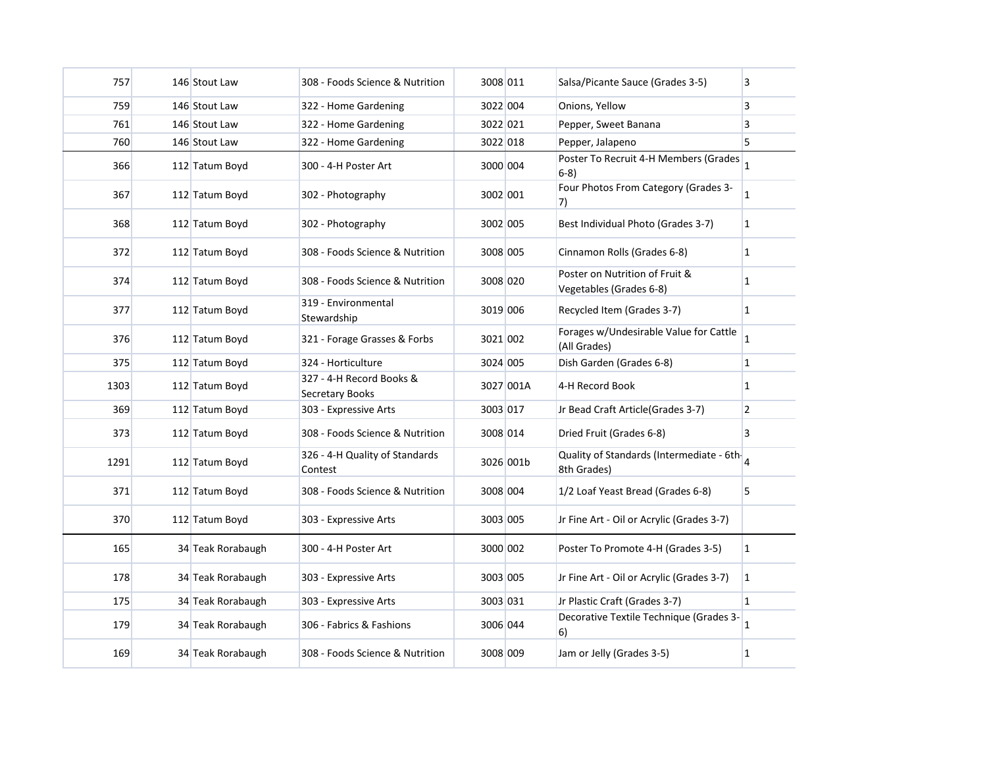| 757  | 146 Stout Law     | 308 - Foods Science & Nutrition             | 3008 011 |           | Salsa/Picante Sauce (Grades 3-5)                          | 3              |
|------|-------------------|---------------------------------------------|----------|-----------|-----------------------------------------------------------|----------------|
| 759  | 146 Stout Law     | 322 - Home Gardening                        | 3022 004 |           | Onions, Yellow                                            | 3              |
| 761  | 146 Stout Law     | 322 - Home Gardening                        | 3022 021 |           | Pepper, Sweet Banana                                      | 3              |
| 760  | 146 Stout Law     | 322 - Home Gardening                        | 3022 018 |           | Pepper, Jalapeno                                          | 5              |
| 366  | 112 Tatum Boyd    | 300 - 4-H Poster Art                        | 3000 004 |           | Poster To Recruit 4-H Members (Grades<br>$6-8)$           | $\overline{1}$ |
| 367  | 112 Tatum Boyd    | 302 - Photography                           | 3002 001 |           | Four Photos From Category (Grades 3-<br>7)                | $\mathbf{1}$   |
| 368  | 112 Tatum Boyd    | 302 - Photography                           | 3002 005 |           | Best Individual Photo (Grades 3-7)                        | $\mathbf{1}$   |
| 372  | 112 Tatum Boyd    | 308 - Foods Science & Nutrition             | 3008 005 |           | Cinnamon Rolls (Grades 6-8)                               | $\mathbf{1}$   |
| 374  | 112 Tatum Boyd    | 308 - Foods Science & Nutrition             | 3008 020 |           | Poster on Nutrition of Fruit &<br>Vegetables (Grades 6-8) | $\mathbf{1}$   |
| 377  | 112 Tatum Boyd    | 319 - Environmental<br>Stewardship          | 3019 006 |           | Recycled Item (Grades 3-7)                                | $\mathbf{1}$   |
| 376  | 112 Tatum Boyd    | 321 - Forage Grasses & Forbs                | 3021 002 |           | Forages w/Undesirable Value for Cattle<br>(All Grades)    | $\mathbf{1}$   |
| 375  | 112 Tatum Boyd    | 324 - Horticulture                          | 3024 005 |           | Dish Garden (Grades 6-8)                                  | $\mathbf 1$    |
| 1303 | 112 Tatum Boyd    | 327 - 4-H Record Books &<br>Secretary Books |          | 3027 001A | 4-H Record Book                                           | 1              |
| 369  | 112 Tatum Boyd    | 303 - Expressive Arts                       | 3003 017 |           | Jr Bead Craft Article (Grades 3-7)                        | $\overline{2}$ |
| 373  | 112 Tatum Boyd    | 308 - Foods Science & Nutrition             | 3008 014 |           | Dried Fruit (Grades 6-8)                                  | 3              |
| 1291 | 112 Tatum Boyd    | 326 - 4-H Quality of Standards<br>Contest   |          | 3026 001b | Quality of Standards (Intermediate - 6th-<br>8th Grades)  | 4              |
| 371  | 112 Tatum Boyd    | 308 - Foods Science & Nutrition             | 3008 004 |           | 1/2 Loaf Yeast Bread (Grades 6-8)                         | 5              |
| 370  | 112 Tatum Boyd    | 303 - Expressive Arts                       | 3003 005 |           | Jr Fine Art - Oil or Acrylic (Grades 3-7)                 |                |
| 165  | 34 Teak Rorabaugh | 300 - 4-H Poster Art                        | 3000 002 |           | Poster To Promote 4-H (Grades 3-5)                        | $\mathbf{1}$   |
| 178  | 34 Teak Rorabaugh | 303 - Expressive Arts                       | 3003 005 |           | Jr Fine Art - Oil or Acrylic (Grades 3-7)                 | 1              |
| 175  | 34 Teak Rorabaugh | 303 - Expressive Arts                       | 3003 031 |           | Jr Plastic Craft (Grades 3-7)                             | $\mathbf{1}$   |
| 179  | 34 Teak Rorabaugh | 306 - Fabrics & Fashions                    | 3006 044 |           | Decorative Textile Technique (Grades 3-<br>6)             | $\mathbf{1}$   |
| 169  | 34 Teak Rorabaugh | 308 - Foods Science & Nutrition             | 3008 009 |           | Jam or Jelly (Grades 3-5)                                 | $\mathbf{1}$   |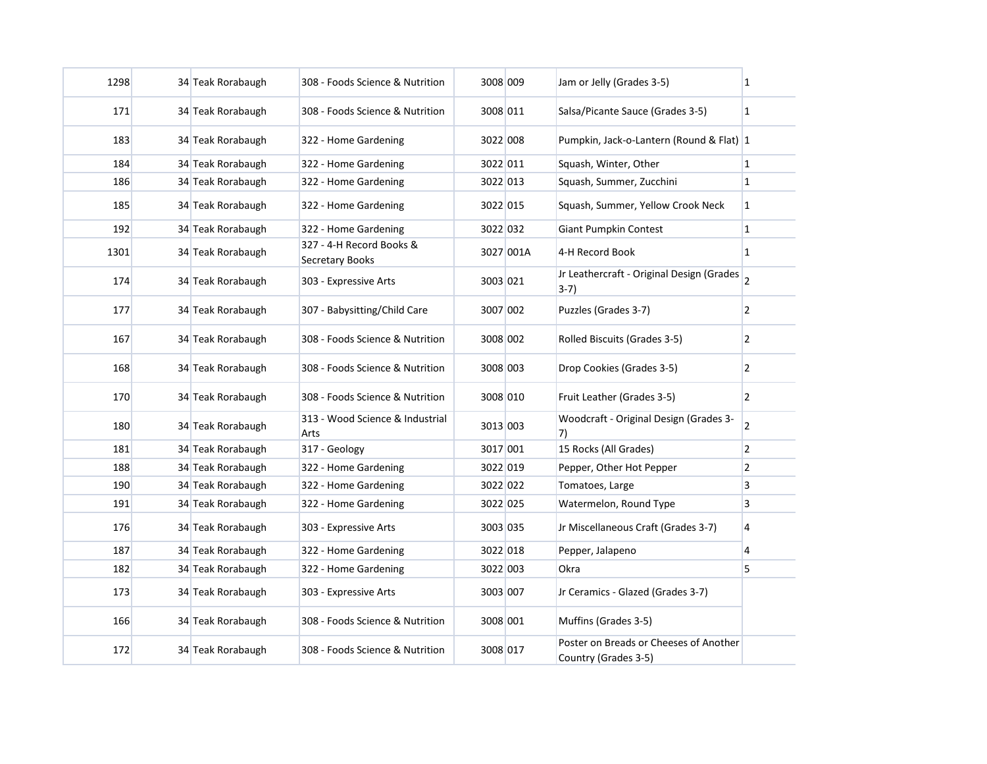| 1298 | 34 Teak Rorabaugh | 308 - Foods Science & Nutrition                    | 3008 009 |           | Jam or Jelly (Grades 3-5)                                      | $\vert$ 1      |
|------|-------------------|----------------------------------------------------|----------|-----------|----------------------------------------------------------------|----------------|
| 171  | 34 Teak Rorabaugh | 308 - Foods Science & Nutrition                    | 3008 011 |           | Salsa/Picante Sauce (Grades 3-5)                               | $\overline{1}$ |
| 183  | 34 Teak Rorabaugh | 322 - Home Gardening                               | 3022 008 |           | Pumpkin, Jack-o-Lantern (Round & Flat) 1                       |                |
| 184  | 34 Teak Rorabaugh | 322 - Home Gardening                               | 3022 011 |           | Squash, Winter, Other                                          |                |
| 186  | 34 Teak Rorabaugh | 322 - Home Gardening                               | 3022 013 |           | Squash, Summer, Zucchini                                       | $\vert$ 1      |
| 185  | 34 Teak Rorabaugh | 322 - Home Gardening                               | 3022 015 |           | Squash, Summer, Yellow Crook Neck                              | $\mathbf{1}$   |
| 192  | 34 Teak Rorabaugh | 322 - Home Gardening                               | 3022 032 |           | <b>Giant Pumpkin Contest</b>                                   | $\overline{1}$ |
| 1301 | 34 Teak Rorabaugh | 327 - 4-H Record Books &<br><b>Secretary Books</b> |          | 3027 001A | 4-H Record Book                                                | $\mathbf{1}$   |
| 174  | 34 Teak Rorabaugh | 303 - Expressive Arts                              | 3003 021 |           | Jr Leathercraft - Original Design (Grades 2<br>$3-7)$          |                |
| 177  | 34 Teak Rorabaugh | 307 - Babysitting/Child Care                       | 3007 002 |           | Puzzles (Grades 3-7)                                           | $\overline{2}$ |
| 167  | 34 Teak Rorabaugh | 308 - Foods Science & Nutrition                    | 3008 002 |           | Rolled Biscuits (Grades 3-5)                                   | $\overline{2}$ |
| 168  | 34 Teak Rorabaugh | 308 - Foods Science & Nutrition                    | 3008 003 |           | Drop Cookies (Grades 3-5)                                      | $\overline{2}$ |
| 170  | 34 Teak Rorabaugh | 308 - Foods Science & Nutrition                    | 3008 010 |           | Fruit Leather (Grades 3-5)                                     | $\overline{2}$ |
| 180  | 34 Teak Rorabaugh | 313 - Wood Science & Industrial<br>Arts            | 3013 003 |           | Woodcraft - Original Design (Grades 3-<br>7)                   | $\overline{2}$ |
| 181  | 34 Teak Rorabaugh | 317 - Geology                                      | 3017 001 |           | 15 Rocks (All Grades)                                          | $\overline{2}$ |
| 188  | 34 Teak Rorabaugh | 322 - Home Gardening                               | 3022 019 |           | Pepper, Other Hot Pepper                                       | $\overline{2}$ |
| 190  | 34 Teak Rorabaugh | 322 - Home Gardening                               | 3022 022 |           | Tomatoes, Large                                                | $\overline{3}$ |
| 191  | 34 Teak Rorabaugh | 322 - Home Gardening                               | 3022 025 |           | Watermelon, Round Type                                         | $\overline{3}$ |
| 176  | 34 Teak Rorabaugh | 303 - Expressive Arts                              | 3003 035 |           | Jr Miscellaneous Craft (Grades 3-7)                            | $\overline{4}$ |
| 187  | 34 Teak Rorabaugh | 322 - Home Gardening                               | 3022 018 |           | Pepper, Jalapeno                                               | $\overline{4}$ |
| 182  | 34 Teak Rorabaugh | 322 - Home Gardening                               | 3022 003 |           | Okra                                                           | 5              |
| 173  | 34 Teak Rorabaugh | 303 - Expressive Arts                              | 3003 007 |           | Jr Ceramics - Glazed (Grades 3-7)                              |                |
| 166  | 34 Teak Rorabaugh | 308 - Foods Science & Nutrition                    | 3008 001 |           | Muffins (Grades 3-5)                                           |                |
| 172  | 34 Teak Rorabaugh | 308 - Foods Science & Nutrition                    | 3008 017 |           | Poster on Breads or Cheeses of Another<br>Country (Grades 3-5) |                |